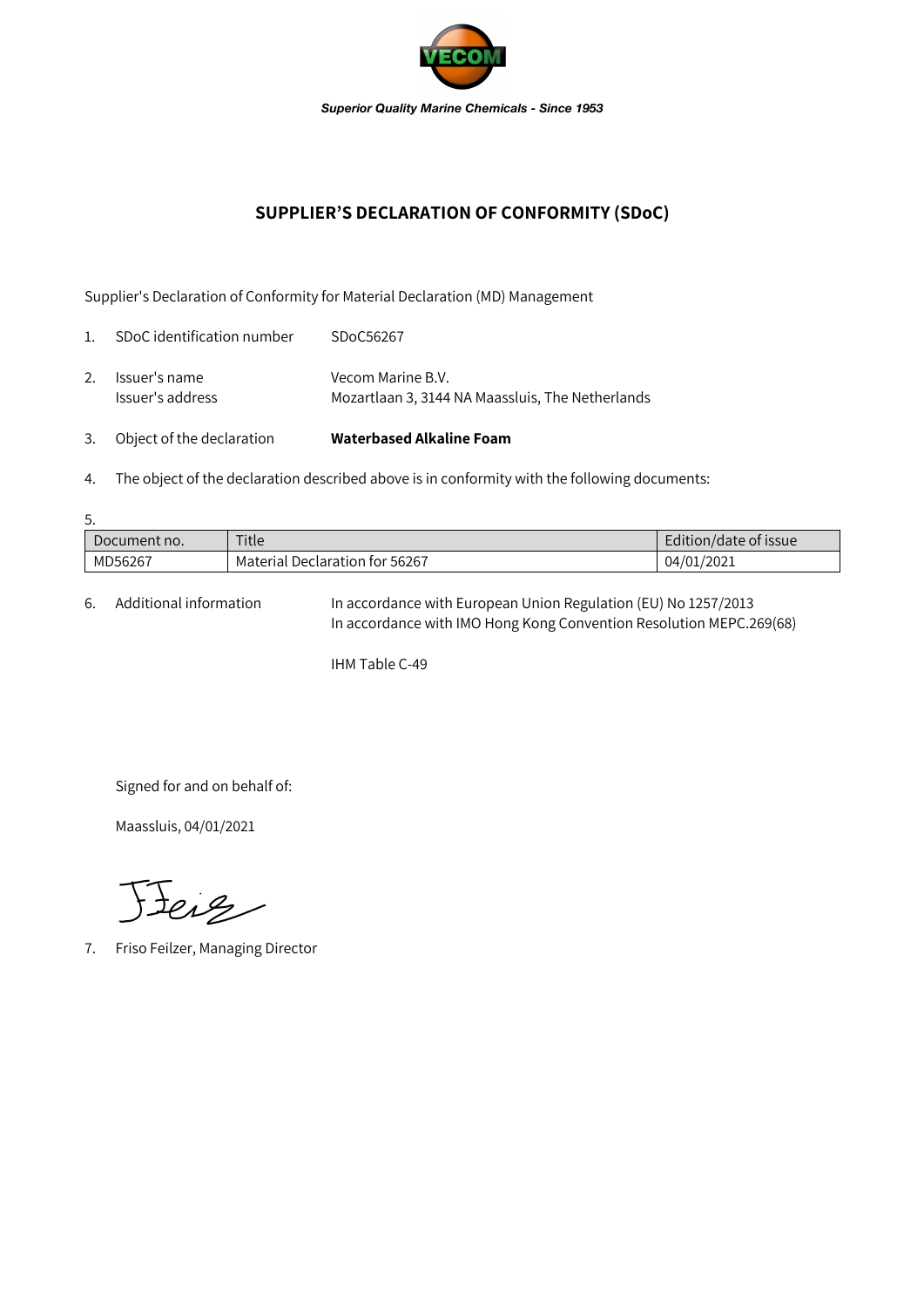

## **SUPPLIER'S DECLARATION OF CONFORMITY (SDoC)**

Supplier's Declaration of Conformity for Material Declaration (MD) Management

| 3.             | Object of the declaration         | Waterbased Alkaline Foam                                              |
|----------------|-----------------------------------|-----------------------------------------------------------------------|
| 2.             | Issuer's name<br>Issuer's address | Vecom Marine B.V.<br>Mozartlaan 3, 3144 NA Maassluis, The Netherlands |
| $\mathbf{1}$ . | SDoC identification number        | SDoC56267                                                             |

4. The object of the declaration described above is in conformity with the following documents:

| 5.           |                                |                       |  |  |  |  |
|--------------|--------------------------------|-----------------------|--|--|--|--|
| Document no. | Title                          | Edition/date of issue |  |  |  |  |
| MD56267      | Material Declaration for 56267 | 04/01/2021            |  |  |  |  |

6. Additional information In accordance with European Union Regulation (EU) No 1257/2013 In accordance with IMO Hong Kong Convention Resolution MEPC.269(68)

IHM Table C-49

Signed for and on behalf of:

Maassluis, 04/01/2021

Feig

7. Friso Feilzer, Managing Director